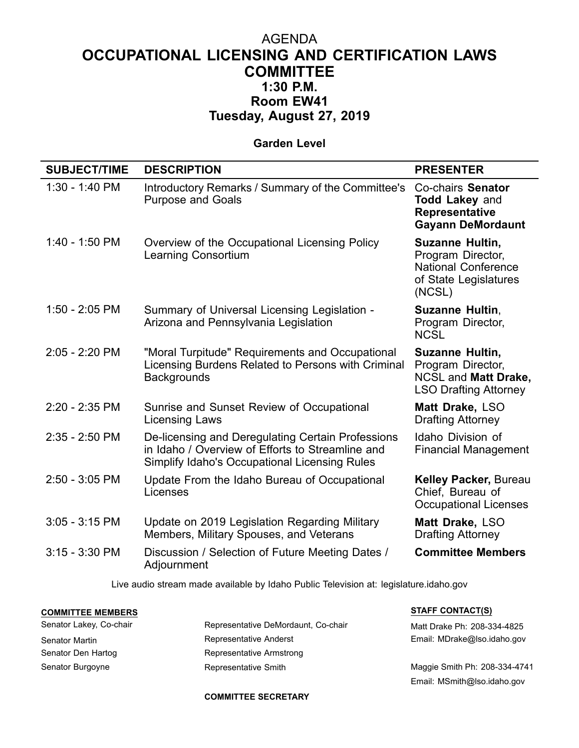## AGENDA **OCCUPATIONAL LICENSING AND CERTIFICATION LAWS COMMITTEE 1:30 P.M. Room EW41 Tuesday, August 27, 2019**

## **Garden Level**

| <b>SUBJECT/TIME</b> | <b>DESCRIPTION</b>                                                                                                                                     | <b>PRESENTER</b>                                                                                      |
|---------------------|--------------------------------------------------------------------------------------------------------------------------------------------------------|-------------------------------------------------------------------------------------------------------|
| 1:30 - 1:40 PM      | Introductory Remarks / Summary of the Committee's<br><b>Purpose and Goals</b>                                                                          | Co-chairs Senator<br><b>Todd Lakey and</b><br><b>Representative</b><br><b>Gayann DeMordaunt</b>       |
| 1:40 - 1:50 PM      | Overview of the Occupational Licensing Policy<br><b>Learning Consortium</b>                                                                            | Suzanne Hultin,<br>Program Director,<br><b>National Conference</b><br>of State Legislatures<br>(NCSL) |
| 1:50 - 2:05 PM      | Summary of Universal Licensing Legislation -<br>Arizona and Pennsylvania Legislation                                                                   | Suzanne Hultin,<br>Program Director,<br><b>NCSL</b>                                                   |
| 2:05 - 2:20 PM      | "Moral Turpitude" Requirements and Occupational<br>Licensing Burdens Related to Persons with Criminal<br><b>Backgrounds</b>                            | Suzanne Hultin,<br>Program Director,<br><b>NCSL and Matt Drake,</b><br><b>LSO Drafting Attorney</b>   |
| 2:20 - 2:35 PM      | Sunrise and Sunset Review of Occupational<br><b>Licensing Laws</b>                                                                                     | Matt Drake, LSO<br><b>Drafting Attorney</b>                                                           |
| 2:35 - 2:50 PM      | De-licensing and Deregulating Certain Professions<br>in Idaho / Overview of Efforts to Streamline and<br>Simplify Idaho's Occupational Licensing Rules | <b>Idaho Division of</b><br><b>Financial Management</b>                                               |
| 2:50 - 3:05 PM      | Update From the Idaho Bureau of Occupational<br>Licenses                                                                                               | <b>Kelley Packer, Bureau</b><br>Chief, Bureau of<br><b>Occupational Licenses</b>                      |
| $3:05 - 3:15$ PM    | Update on 2019 Legislation Regarding Military<br>Members, Military Spouses, and Veterans                                                               | Matt Drake, LSO<br><b>Drafting Attorney</b>                                                           |
| $3:15 - 3:30$ PM    | Discussion / Selection of Future Meeting Dates /<br>Adjournment                                                                                        | <b>Committee Members</b>                                                                              |
|                     |                                                                                                                                                        |                                                                                                       |

Live audio stream made available by Idaho Public Television at: legislature.idaho.gov

## **COMMITTEE MEMBERS STAFF CONTACT(S)**

| Senator Lakey, Co-chair | Representative DeMordaunt, Co-chair | Matt Drake Ph: 208-334-4825   |
|-------------------------|-------------------------------------|-------------------------------|
| Senator Martin          | Representative Anderst              | Email: MDrake@Iso.idaho.gov   |
| Senator Den Hartog      | Representative Armstrong            |                               |
| Senator Burgoyne        | Representative Smith                | Maggie Smith Ph: 208-334-4741 |

Email: MSmith@lso.idaho.gov

## **COMMITTEE SECRETARY**